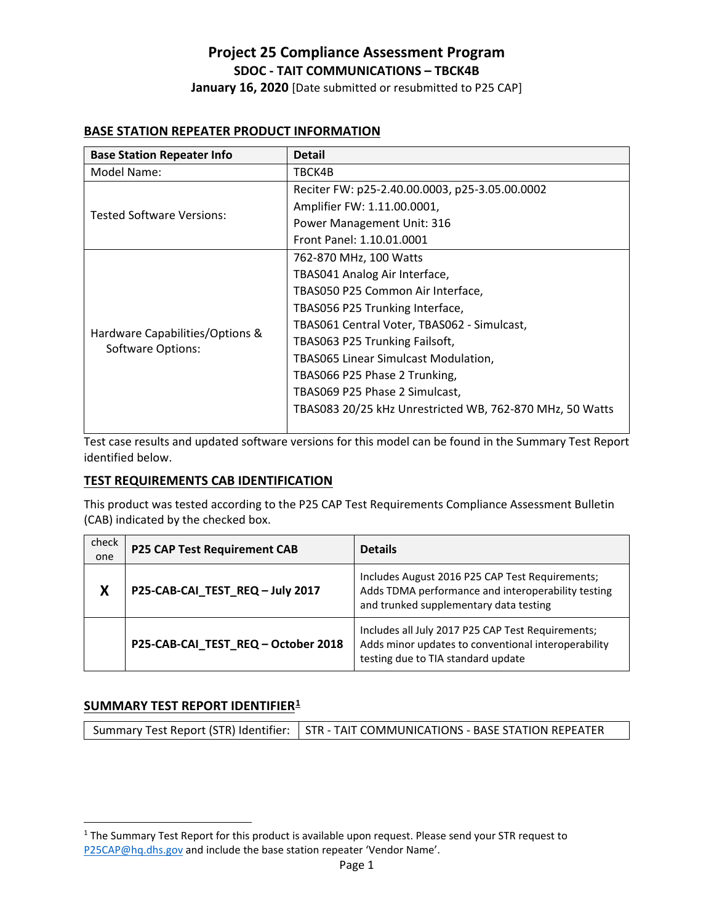**January 16, 2020** [Date submitted or resubmitted to P25 CAP]

### **BASE STATION REPEATER PRODUCT INFORMATION**

| <b>Base Station Repeater Info</b>                           | <b>Detail</b>                                            |
|-------------------------------------------------------------|----------------------------------------------------------|
| Model Name:                                                 | TBCK4B                                                   |
| <b>Tested Software Versions:</b>                            | Reciter FW: p25-2.40.00.0003, p25-3.05.00.0002           |
|                                                             | Amplifier FW: 1.11.00.0001,                              |
|                                                             | Power Management Unit: 316                               |
|                                                             | Front Panel: 1.10.01.0001                                |
| Hardware Capabilities/Options &<br><b>Software Options:</b> | 762-870 MHz, 100 Watts                                   |
|                                                             | TBAS041 Analog Air Interface,                            |
|                                                             | TBAS050 P25 Common Air Interface,                        |
|                                                             | TBAS056 P25 Trunking Interface,                          |
|                                                             | TBAS061 Central Voter, TBAS062 - Simulcast,              |
|                                                             | TBAS063 P25 Trunking Failsoft,                           |
|                                                             | <b>TBAS065 Linear Simulcast Modulation,</b>              |
|                                                             | TBAS066 P25 Phase 2 Trunking,                            |
|                                                             | TBAS069 P25 Phase 2 Simulcast,                           |
|                                                             | TBAS083 20/25 kHz Unrestricted WB, 762-870 MHz, 50 Watts |
|                                                             |                                                          |

Test case results and updated software versions for this model can be found in the Summary Test Report identified below.

### **TEST REQUIREMENTS CAB IDENTIFICATION**

This product was tested according to the P25 CAP Test Requirements Compliance Assessment Bulletin (CAB) indicated by the checked box.

| check<br>one | <b>P25 CAP Test Requirement CAB</b> | <b>Details</b>                                                                                                                                  |
|--------------|-------------------------------------|-------------------------------------------------------------------------------------------------------------------------------------------------|
| X            | P25-CAB-CAI_TEST_REQ-July 2017      | Includes August 2016 P25 CAP Test Requirements;<br>Adds TDMA performance and interoperability testing<br>and trunked supplementary data testing |
|              | P25-CAB-CAI TEST REQ - October 2018 | Includes all July 2017 P25 CAP Test Requirements;<br>Adds minor updates to conventional interoperability<br>testing due to TIA standard update  |

#### **SUMMARY TEST REPORT IDENTIFIER[1](#page-0-0)**

l

<span id="page-0-0"></span><sup>&</sup>lt;sup>1</sup> The Summary Test Report for this product is available upon request. Please send your STR request to [P25CAP@hq.dhs.gov](mailto:P25CAP@hq.dhs.gov) and include the base station repeater 'Vendor Name'.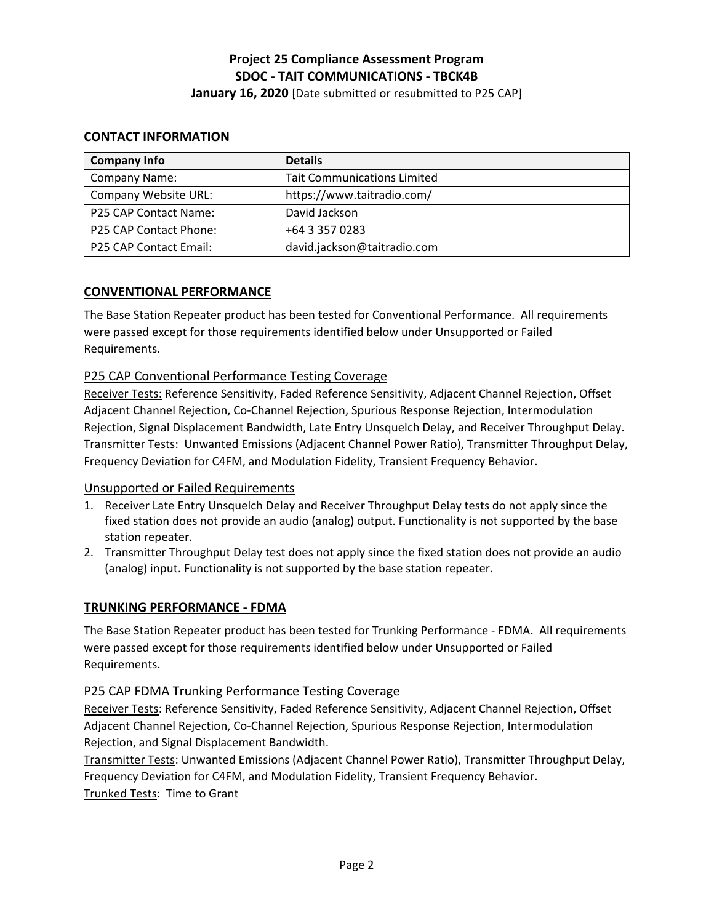**January 16, 2020** [Date submitted or resubmitted to P25 CAP]

### **CONTACT INFORMATION**

| <b>Company Info</b>    | <b>Details</b>                     |
|------------------------|------------------------------------|
| <b>Company Name:</b>   | <b>Tait Communications Limited</b> |
| Company Website URL:   | https://www.taitradio.com/         |
| P25 CAP Contact Name:  | David Jackson                      |
| P25 CAP Contact Phone: | +64 3 357 0283                     |
| P25 CAP Contact Email: | david.jackson@taitradio.com        |

### **CONVENTIONAL PERFORMANCE**

The Base Station Repeater product has been tested for Conventional Performance. All requirements were passed except for those requirements identified below under Unsupported or Failed Requirements.

### P25 CAP Conventional Performance Testing Coverage

Receiver Tests: Reference Sensitivity, Faded Reference Sensitivity, Adjacent Channel Rejection, Offset Adjacent Channel Rejection, Co-Channel Rejection, Spurious Response Rejection, Intermodulation Rejection, Signal Displacement Bandwidth, Late Entry Unsquelch Delay, and Receiver Throughput Delay. Transmitter Tests: Unwanted Emissions (Adjacent Channel Power Ratio), Transmitter Throughput Delay, Frequency Deviation for C4FM, and Modulation Fidelity, Transient Frequency Behavior.

### Unsupported or Failed Requirements

- 1. Receiver Late Entry Unsquelch Delay and Receiver Throughput Delay tests do not apply since the fixed station does not provide an audio (analog) output. Functionality is not supported by the base station repeater.
- 2. Transmitter Throughput Delay test does not apply since the fixed station does not provide an audio (analog) input. Functionality is not supported by the base station repeater.

### **TRUNKING PERFORMANCE - FDMA**

The Base Station Repeater product has been tested for Trunking Performance - FDMA. All requirements were passed except for those requirements identified below under Unsupported or Failed Requirements.

### P25 CAP FDMA Trunking Performance Testing Coverage

Receiver Tests: Reference Sensitivity, Faded Reference Sensitivity, Adjacent Channel Rejection, Offset Adjacent Channel Rejection, Co-Channel Rejection, Spurious Response Rejection, Intermodulation Rejection, and Signal Displacement Bandwidth.

Transmitter Tests: Unwanted Emissions (Adjacent Channel Power Ratio), Transmitter Throughput Delay, Frequency Deviation for C4FM, and Modulation Fidelity, Transient Frequency Behavior. Trunked Tests: Time to Grant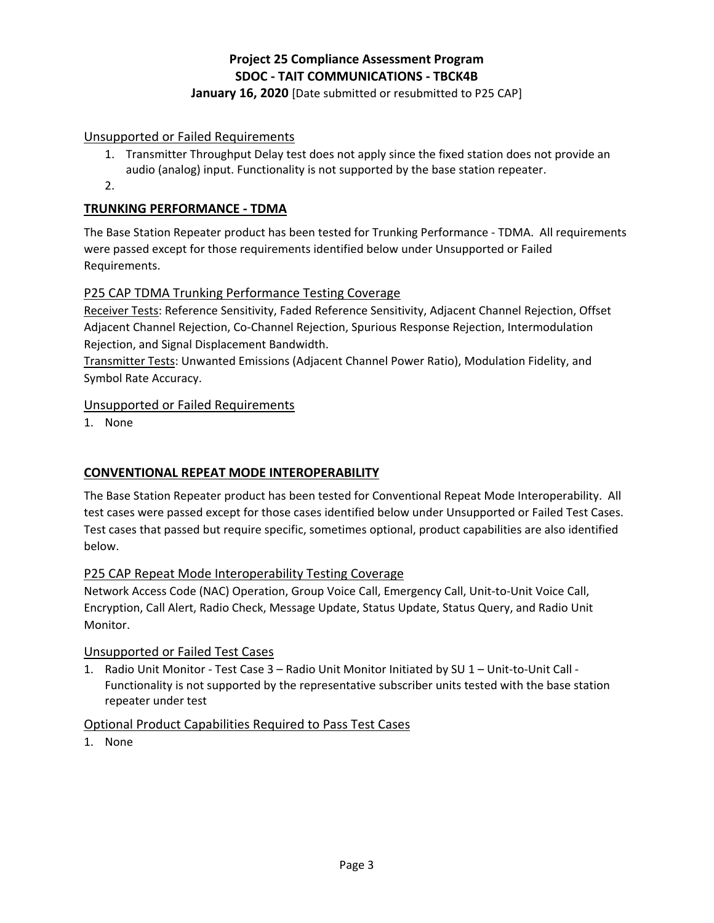### **January 16, 2020** [Date submitted or resubmitted to P25 CAP]

### Unsupported or Failed Requirements

- 1. Transmitter Throughput Delay test does not apply since the fixed station does not provide an audio (analog) input. Functionality is not supported by the base station repeater.
- 2.

# **TRUNKING PERFORMANCE - TDMA**

The Base Station Repeater product has been tested for Trunking Performance - TDMA. All requirements were passed except for those requirements identified below under Unsupported or Failed Requirements.

# P25 CAP TDMA Trunking Performance Testing Coverage

Receiver Tests: Reference Sensitivity, Faded Reference Sensitivity, Adjacent Channel Rejection, Offset Adjacent Channel Rejection, Co-Channel Rejection, Spurious Response Rejection, Intermodulation Rejection, and Signal Displacement Bandwidth.

Transmitter Tests: Unwanted Emissions (Adjacent Channel Power Ratio), Modulation Fidelity, and Symbol Rate Accuracy.

### Unsupported or Failed Requirements

1. None

# **CONVENTIONAL REPEAT MODE INTEROPERABILITY**

The Base Station Repeater product has been tested for Conventional Repeat Mode Interoperability. All test cases were passed except for those cases identified below under Unsupported or Failed Test Cases. Test cases that passed but require specific, sometimes optional, product capabilities are also identified below.

# P25 CAP Repeat Mode Interoperability Testing Coverage

Network Access Code (NAC) Operation, Group Voice Call, Emergency Call, Unit-to-Unit Voice Call, Encryption, Call Alert, Radio Check, Message Update, Status Update, Status Query, and Radio Unit Monitor.

### Unsupported or Failed Test Cases

1. Radio Unit Monitor - Test Case 3 – Radio Unit Monitor Initiated by SU 1 – Unit-to-Unit Call - Functionality is not supported by the representative subscriber units tested with the base station repeater under test

### Optional Product Capabilities Required to Pass Test Cases

1. None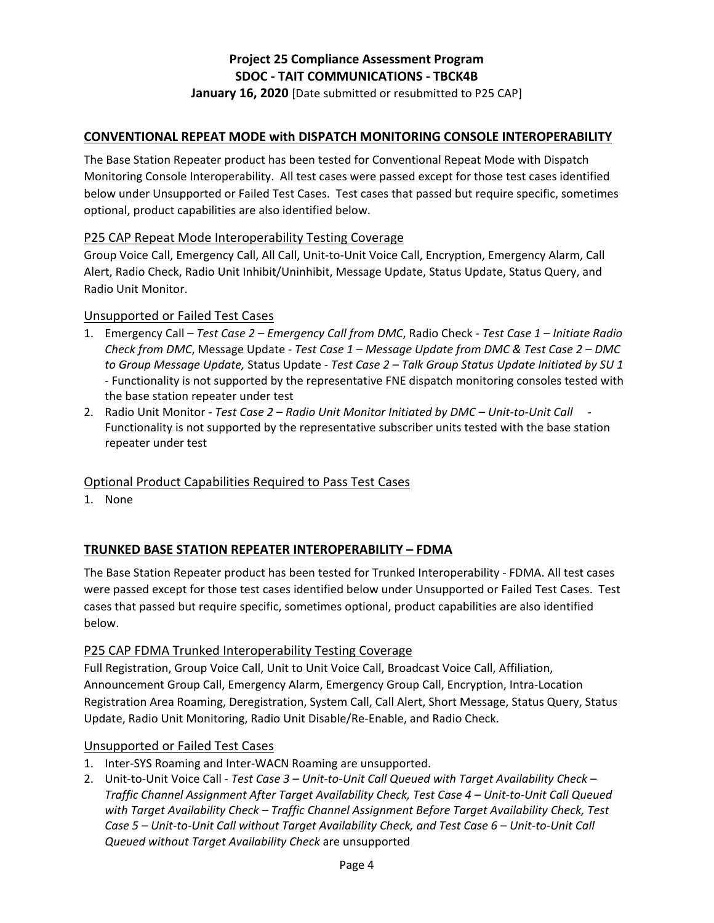**January 16, 2020** [Date submitted or resubmitted to P25 CAP]

### **CONVENTIONAL REPEAT MODE with DISPATCH MONITORING CONSOLE INTEROPERABILITY**

The Base Station Repeater product has been tested for Conventional Repeat Mode with Dispatch Monitoring Console Interoperability. All test cases were passed except for those test cases identified below under Unsupported or Failed Test Cases. Test cases that passed but require specific, sometimes optional, product capabilities are also identified below.

### P25 CAP Repeat Mode Interoperability Testing Coverage

Group Voice Call, Emergency Call, All Call, Unit-to-Unit Voice Call, Encryption, Emergency Alarm, Call Alert, Radio Check, Radio Unit Inhibit/Uninhibit, Message Update, Status Update, Status Query, and Radio Unit Monitor.

### Unsupported or Failed Test Cases

- 1. Emergency Call *Test Case 2 Emergency Call from DMC*, Radio Check  *Test Case 1 Initiate Radio Check from DMC*, Message Update - *Test Case 1 – Message Update from DMC & Test Case 2 – DMC to Group Message Update,* Status Update - *Test Case 2 – Talk Group Status Update Initiated by SU 1* - Functionality is not supported by the representative FNE dispatch monitoring consoles tested with the base station repeater under test
- 2. Radio Unit Monitor *Test Case 2 Radio Unit Monitor Initiated by DMC Unit-to-Unit Call* Functionality is not supported by the representative subscriber units tested with the base station repeater under test

### Optional Product Capabilities Required to Pass Test Cases

1. None

### **TRUNKED BASE STATION REPEATER INTEROPERABILITY – FDMA**

The Base Station Repeater product has been tested for Trunked Interoperability - FDMA. All test cases were passed except for those test cases identified below under Unsupported or Failed Test Cases. Test cases that passed but require specific, sometimes optional, product capabilities are also identified below.

### P25 CAP FDMA Trunked Interoperability Testing Coverage

Full Registration, Group Voice Call, Unit to Unit Voice Call, Broadcast Voice Call, Affiliation, Announcement Group Call, Emergency Alarm, Emergency Group Call, Encryption, Intra-Location Registration Area Roaming, Deregistration, System Call, Call Alert, Short Message, Status Query, Status Update, Radio Unit Monitoring, Radio Unit Disable/Re-Enable, and Radio Check.

#### Unsupported or Failed Test Cases

- 1. Inter-SYS Roaming and Inter-WACN Roaming are unsupported.
- 2. Unit-to-Unit Voice Call *Test Case 3 Unit-to-Unit Call Queued with Target Availability Check Traffic Channel Assignment After Target Availability Check, Test Case 4 – Unit-to-Unit Call Queued with Target Availability Check – Traffic Channel Assignment Before Target Availability Check, Test Case 5 – Unit-to-Unit Call without Target Availability Check, and Test Case 6 – Unit-to-Unit Call Queued without Target Availability Check* are unsupported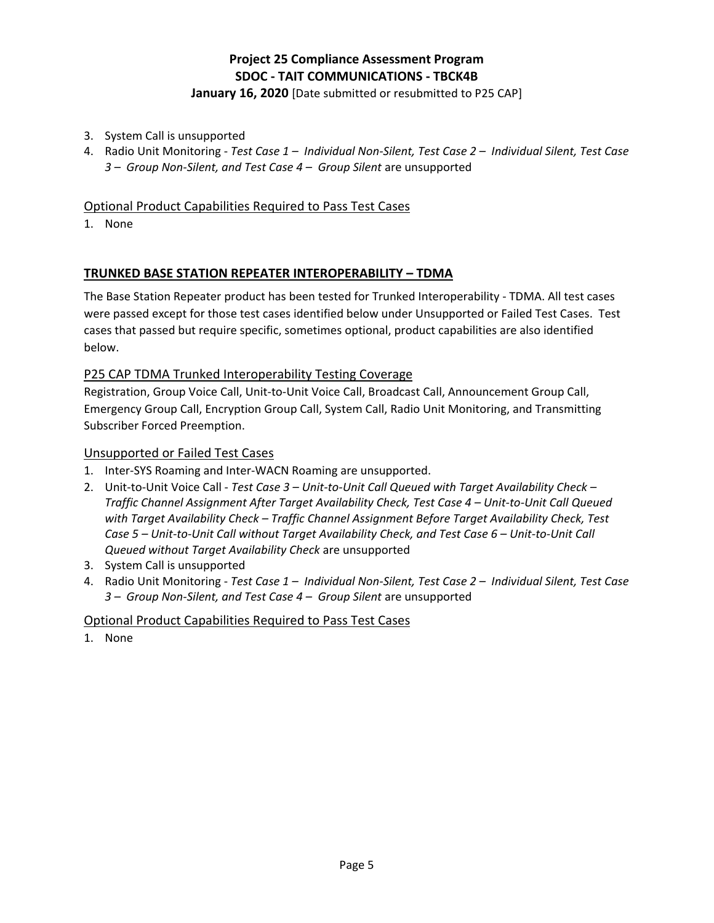### **January 16, 2020** [Date submitted or resubmitted to P25 CAP]

- 3. System Call is unsupported
- 4. Radio Unit Monitoring *Test Case 1 Individual Non-Silent, Test Case 2 Individual Silent, Test Case 3 – Group Non-Silent, and Test Case 4 – Group Silent* are unsupported

### Optional Product Capabilities Required to Pass Test Cases

1. None

### **TRUNKED BASE STATION REPEATER INTEROPERABILITY – TDMA**

The Base Station Repeater product has been tested for Trunked Interoperability - TDMA. All test cases were passed except for those test cases identified below under Unsupported or Failed Test Cases. Test cases that passed but require specific, sometimes optional, product capabilities are also identified below.

### P25 CAP TDMA Trunked Interoperability Testing Coverage

Registration, Group Voice Call, Unit-to-Unit Voice Call, Broadcast Call, Announcement Group Call, Emergency Group Call, Encryption Group Call, System Call, Radio Unit Monitoring, and Transmitting Subscriber Forced Preemption.

### Unsupported or Failed Test Cases

- 1. Inter-SYS Roaming and Inter-WACN Roaming are unsupported.
- 2. Unit-to-Unit Voice Call *Test Case 3 Unit-to-Unit Call Queued with Target Availability Check Traffic Channel Assignment After Target Availability Check, Test Case 4 – Unit-to-Unit Call Queued with Target Availability Check – Traffic Channel Assignment Before Target Availability Check, Test Case 5 – Unit-to-Unit Call without Target Availability Check, and Test Case 6 – Unit-to-Unit Call Queued without Target Availability Check* are unsupported
- 3. System Call is unsupported
- 4. Radio Unit Monitoring *Test Case 1 Individual Non-Silent, Test Case 2 Individual Silent, Test Case 3 – Group Non-Silent, and Test Case 4 – Group Silent* are unsupported

### Optional Product Capabilities Required to Pass Test Cases

1. None